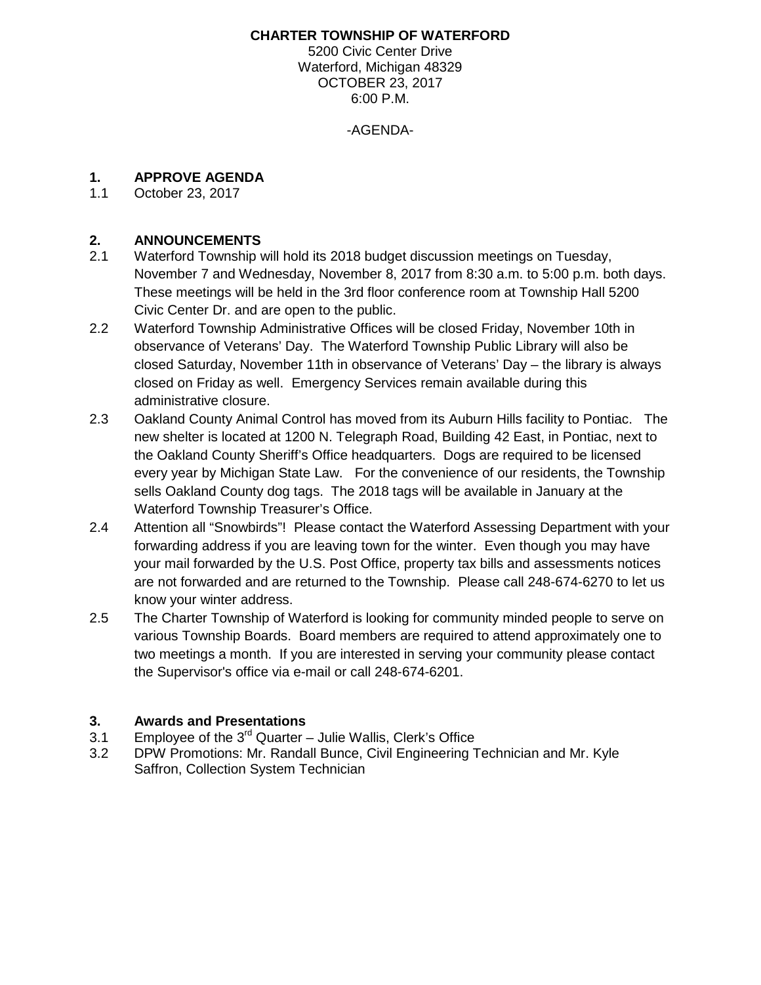### **CHARTER TOWNSHIP OF WATERFORD**

5200 Civic Center Drive Waterford, Michigan 48329 OCTOBER 23, 2017 6:00 P.M.

-AGENDA-

### **1. APPROVE AGENDA**

1.1 October 23, 2017

### **2. ANNOUNCEMENTS**

- 2.1 Waterford Township will hold its 2018 budget discussion meetings on Tuesday, November 7 and Wednesday, November 8, 2017 from 8:30 a.m. to 5:00 p.m. both days. These meetings will be held in the 3rd floor conference room at Township Hall 5200 Civic Center Dr. and are open to the public.
- 2.2 Waterford Township Administrative Offices will be closed Friday, November 10th in observance of Veterans' Day. The Waterford Township Public Library will also be closed Saturday, November 11th in observance of Veterans' Day – the library is always closed on Friday as well. Emergency Services remain available during this administrative closure.
- 2.3 Oakland County Animal Control has moved from its Auburn Hills facility to Pontiac. The new shelter is located at 1200 N. Telegraph Road, Building 42 East, in Pontiac, next to the Oakland County Sheriff's Office headquarters. Dogs are required to be licensed every year by Michigan State Law. For the convenience of our residents, the Township sells Oakland County dog tags. The 2018 tags will be available in January at the Waterford Township Treasurer's Office.
- 2.4 Attention all "Snowbirds"! Please contact the Waterford Assessing Department with your forwarding address if you are leaving town for the winter. Even though you may have your mail forwarded by the U.S. Post Office, property tax bills and assessments notices are not forwarded and are returned to the Township. Please call 248-674-6270 to let us know your winter address.
- 2.5 The Charter Township of Waterford is looking for community minded people to serve on various Township Boards. Board members are required to attend approximately one to two meetings a month. If you are interested in serving your community please contact the Supervisor's office via [e-mail](mailto:supervisor@waterfordmi.gov) or call 248-674-6201.

### **3. Awards and Presentations**

- 3.1 Employee of the  $3^{rd}$  Quarter Julie Wallis, Clerk's Office
- 3.2 DPW Promotions: Mr. Randall Bunce, Civil Engineering Technician and Mr. Kyle Saffron, Collection System Technician